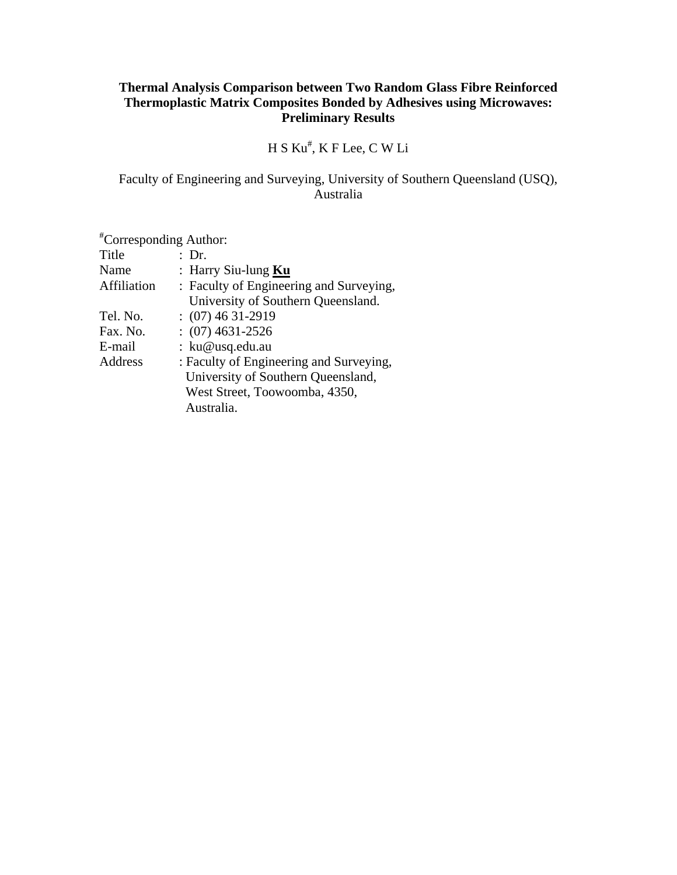# **Thermal Analysis Comparison between Two Random Glass Fibre Reinforced Thermoplastic Matrix Composites Bonded by Adhesives using Microwaves: Preliminary Results**

# H S Ku# , K F Lee, C W Li

# Faculty of Engineering and Surveying, University of Southern Queensland (USQ), Australia

| <i>*</i> Corresponding Author: |                                         |
|--------------------------------|-----------------------------------------|
| Title                          | : Dr.                                   |
| Name                           | : Harry Siu-lung $Ku$                   |
| <b>Affiliation</b>             | : Faculty of Engineering and Surveying, |
|                                | University of Southern Queensland.      |
| Tel. No.                       | $(07)$ 46 31-2919                       |
| Fax. No.                       | $(07)$ 4631-2526                        |
| E-mail                         | : ku@usq.edu.au                         |
| Address                        | : Faculty of Engineering and Surveying, |
|                                | University of Southern Queensland,      |
|                                | West Street, Toowoomba, 4350,           |
|                                | Australia.                              |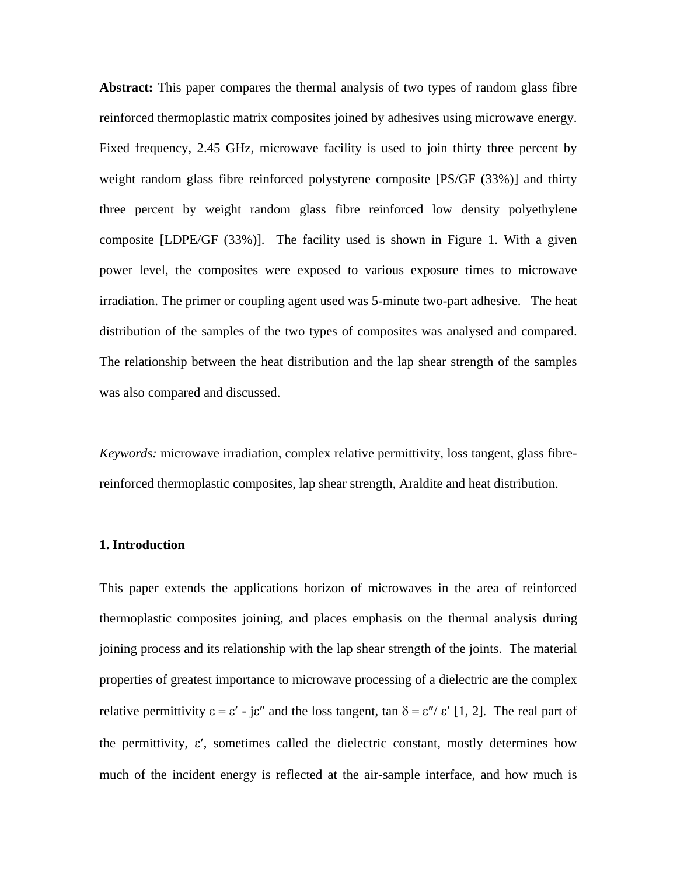**Abstract:** This paper compares the thermal analysis of two types of random glass fibre reinforced thermoplastic matrix composites joined by adhesives using microwave energy. Fixed frequency, 2.45 GHz, microwave facility is used to join thirty three percent by weight random glass fibre reinforced polystyrene composite [PS/GF (33%)] and thirty three percent by weight random glass fibre reinforced low density polyethylene composite [LDPE/GF (33%)]. The facility used is shown in Figure 1. With a given power level, the composites were exposed to various exposure times to microwave irradiation. The primer or coupling agent used was 5-minute two-part adhesive. The heat distribution of the samples of the two types of composites was analysed and compared. The relationship between the heat distribution and the lap shear strength of the samples was also compared and discussed.

*Keywords:* microwave irradiation, complex relative permittivity, loss tangent, glass fibrereinforced thermoplastic composites, lap shear strength, Araldite and heat distribution.

### **1. Introduction**

This paper extends the applications horizon of microwaves in the area of reinforced thermoplastic composites joining, and places emphasis on the thermal analysis during joining process and its relationship with the lap shear strength of the joints. The material properties of greatest importance to microwave processing of a dielectric are the complex relative permittivity  $ε = ε' - jε''$  and the loss tangent, tan  $δ = ε''/ ε' [1, 2]$ . The real part of the permittivity,  $\varepsilon'$ , sometimes called the dielectric constant, mostly determines how much of the incident energy is reflected at the air-sample interface, and how much is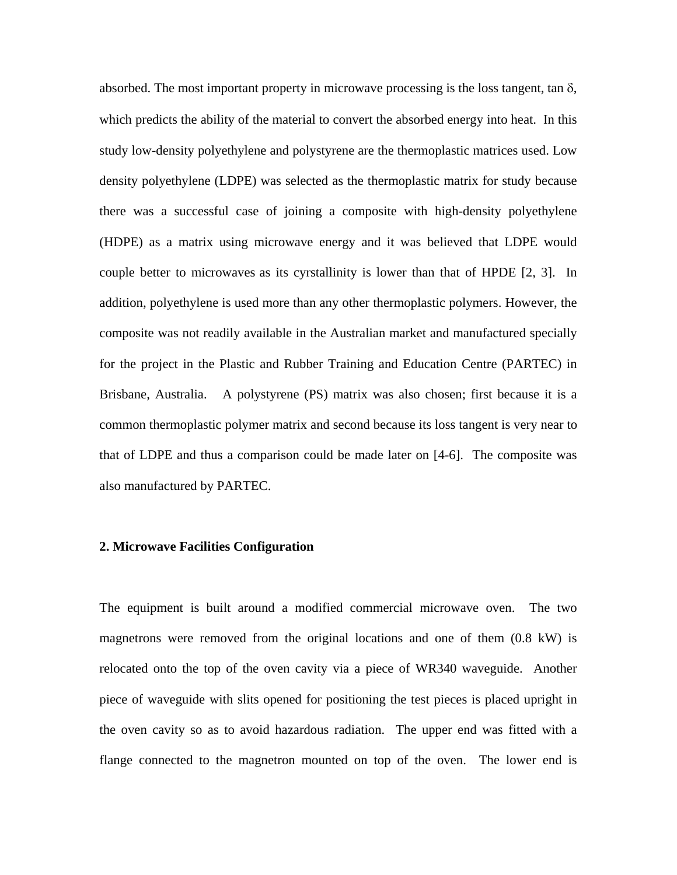absorbed. The most important property in microwave processing is the loss tangent, tan  $\delta$ , which predicts the ability of the material to convert the absorbed energy into heat. In this study low-density polyethylene and polystyrene are the thermoplastic matrices used. Low density polyethylene (LDPE) was selected as the thermoplastic matrix for study because there was a successful case of joining a composite with high-density polyethylene (HDPE) as a matrix using microwave energy and it was believed that LDPE would couple better to microwaves as its cyrstallinity is lower than that of HPDE [2, 3]. In addition, polyethylene is used more than any other thermoplastic polymers. However, the composite was not readily available in the Australian market and manufactured specially for the project in the Plastic and Rubber Training and Education Centre (PARTEC) in Brisbane, Australia. A polystyrene (PS) matrix was also chosen; first because it is a common thermoplastic polymer matrix and second because its loss tangent is very near to that of LDPE and thus a comparison could be made later on [4-6]. The composite was also manufactured by PARTEC.

## **2. Microwave Facilities Configuration**

The equipment is built around a modified commercial microwave oven. The two magnetrons were removed from the original locations and one of them (0.8 kW) is relocated onto the top of the oven cavity via a piece of WR340 waveguide. Another piece of waveguide with slits opened for positioning the test pieces is placed upright in the oven cavity so as to avoid hazardous radiation. The upper end was fitted with a flange connected to the magnetron mounted on top of the oven. The lower end is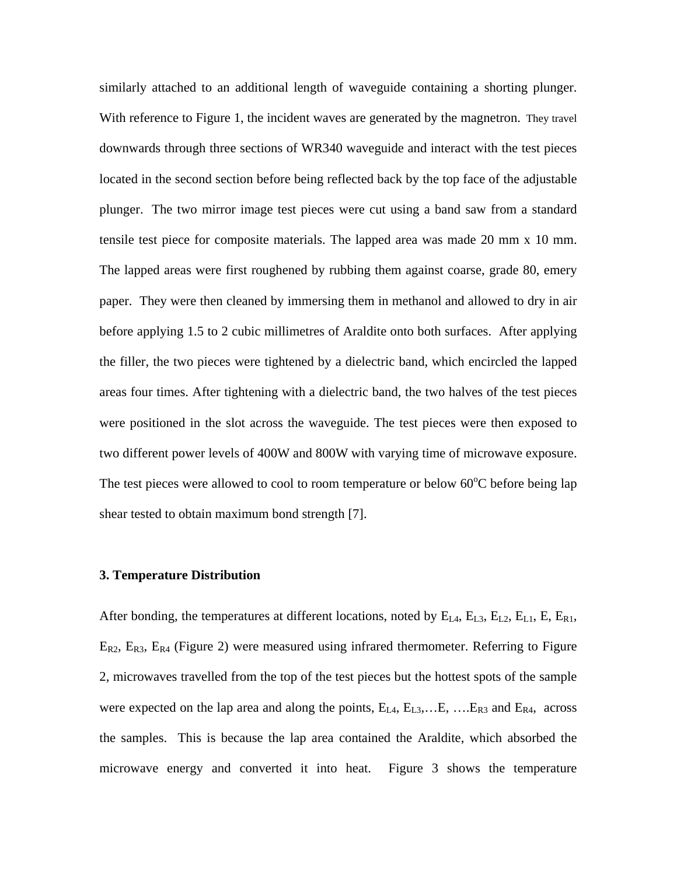similarly attached to an additional length of waveguide containing a shorting plunger. With reference to Figure 1, the incident waves are generated by the magnetron. They travel downwards through three sections of WR340 waveguide and interact with the test pieces located in the second section before being reflected back by the top face of the adjustable plunger. The two mirror image test pieces were cut using a band saw from a standard tensile test piece for composite materials. The lapped area was made 20 mm x 10 mm. The lapped areas were first roughened by rubbing them against coarse, grade 80, emery paper. They were then cleaned by immersing them in methanol and allowed to dry in air before applying 1.5 to 2 cubic millimetres of Araldite onto both surfaces. After applying the filler, the two pieces were tightened by a dielectric band, which encircled the lapped areas four times. After tightening with a dielectric band, the two halves of the test pieces were positioned in the slot across the waveguide. The test pieces were then exposed to two different power levels of 400W and 800W with varying time of microwave exposure. The test pieces were allowed to cool to room temperature or below  $60^{\circ}$ C before being lap shear tested to obtain maximum bond strength [7].

#### **3. Temperature Distribution**

After bonding, the temperatures at different locations, noted by  $E_{L4}$ ,  $E_{L3}$ ,  $E_{L2}$ ,  $E_{L1}$ ,  $E$ ,  $E_{R1}$ ,  $E_{R2}$ ,  $E_{R3}$ ,  $E_{R4}$  (Figure 2) were measured using infrared thermometer. Referring to Figure 2, microwaves travelled from the top of the test pieces but the hottest spots of the sample were expected on the lap area and along the points,  $E_{L4}$ ,  $E_{L3}$ ,..., $E$ , ..., $E_{R3}$  and  $E_{R4}$ , across the samples. This is because the lap area contained the Araldite, which absorbed the microwave energy and converted it into heat. Figure 3 shows the temperature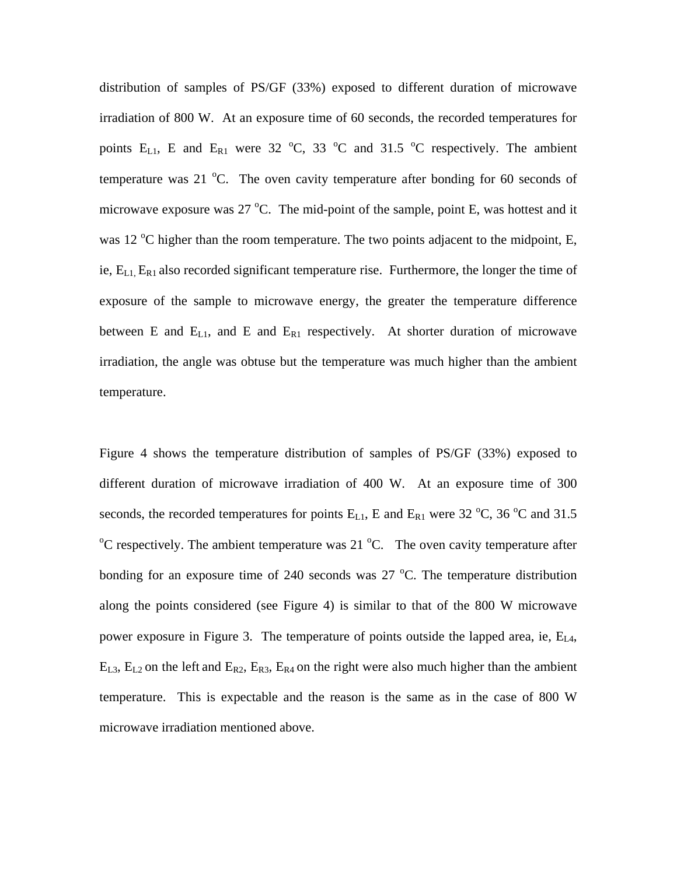distribution of samples of PS/GF (33%) exposed to different duration of microwave irradiation of 800 W. At an exposure time of 60 seconds, the recorded temperatures for points  $E_{L1}$ , E and  $E_{R1}$  were 32 °C, 33 °C and 31.5 °C respectively. The ambient temperature was 21  $^{\circ}$ C. The oven cavity temperature after bonding for 60 seconds of microwave exposure was  $27 \text{ °C}$ . The mid-point of the sample, point E, was hottest and it was 12  $\rm{^{\circ}C}$  higher than the room temperature. The two points adjacent to the midpoint, E, ie,  $E_{L1}$ ,  $E_{R1}$  also recorded significant temperature rise. Furthermore, the longer the time of exposure of the sample to microwave energy, the greater the temperature difference between E and  $E_{L1}$ , and E and  $E_{R1}$  respectively. At shorter duration of microwave irradiation, the angle was obtuse but the temperature was much higher than the ambient temperature.

Figure 4 shows the temperature distribution of samples of PS/GF (33%) exposed to different duration of microwave irradiation of 400 W. At an exposure time of 300 seconds, the recorded temperatures for points  $E_{L1}$ , E and  $E_{R1}$  were 32 °C, 36 °C and 31.5  $\rm ^{o}C$  respectively. The ambient temperature was 21  $\rm ^{o}C$ . The oven cavity temperature after bonding for an exposure time of 240 seconds was  $27^{\circ}$ C. The temperature distribution along the points considered (see Figure 4) is similar to that of the 800 W microwave power exposure in Figure 3. The temperature of points outside the lapped area, ie,  $E_{L4}$ ,  $E_{L3}$ ,  $E_{L2}$  on the left and  $E_{R2}$ ,  $E_{R3}$ ,  $E_{R4}$  on the right were also much higher than the ambient temperature. This is expectable and the reason is the same as in the case of 800 W microwave irradiation mentioned above.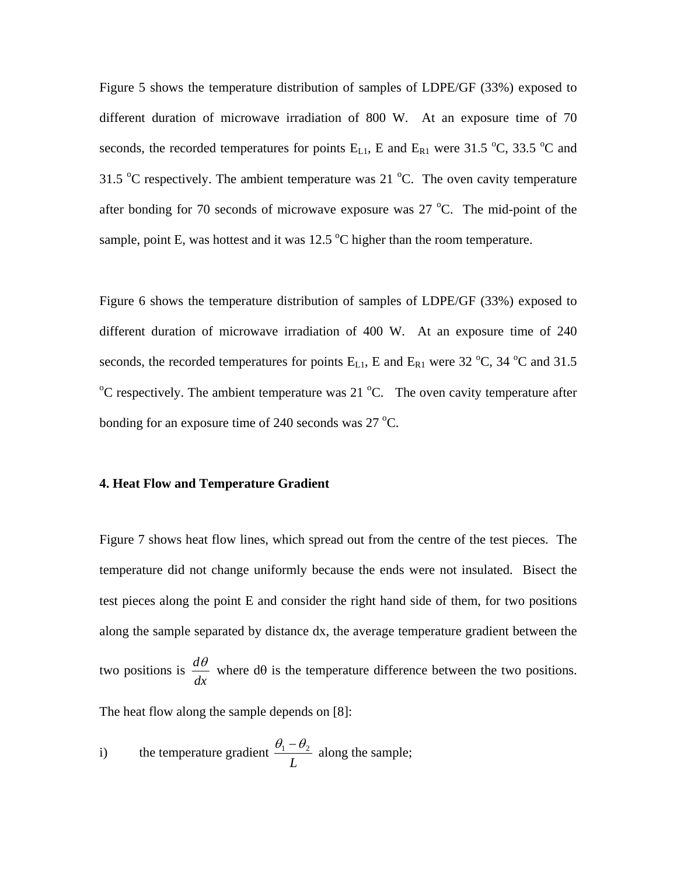Figure 5 shows the temperature distribution of samples of LDPE/GF (33%) exposed to different duration of microwave irradiation of 800 W. At an exposure time of 70 seconds, the recorded temperatures for points  $E_{L1}$ , E and  $E_{R1}$  were 31.5 °C, 33.5 °C and 31.5  $\degree$ C respectively. The ambient temperature was 21  $\degree$ C. The oven cavity temperature after bonding for 70 seconds of microwave exposure was  $27^{\circ}$ C. The mid-point of the sample, point E, was hottest and it was  $12.5 \text{ °C}$  higher than the room temperature.

Figure 6 shows the temperature distribution of samples of LDPE/GF (33%) exposed to different duration of microwave irradiation of 400 W. At an exposure time of 240 seconds, the recorded temperatures for points  $E_{L1}$ , E and  $E_{R1}$  were 32 °C, 34 °C and 31.5  $\rm ^{o}C$  respectively. The ambient temperature was 21  $\rm ^{o}C$ . The oven cavity temperature after bonding for an exposure time of 240 seconds was  $27^{\circ}$ C.

#### **4. Heat Flow and Temperature Gradient**

Figure 7 shows heat flow lines, which spread out from the centre of the test pieces. The temperature did not change uniformly because the ends were not insulated. Bisect the test pieces along the point E and consider the right hand side of them, for two positions along the sample separated by distance dx, the average temperature gradient between the two positions is *dx*  $\frac{d\theta}{dt}$  where  $d\theta$  is the temperature difference between the two positions.

The heat flow along the sample depends on [8]:

i) the temperature gradient 
$$
\frac{\theta_1 - \theta_2}{L}
$$
 along the sample;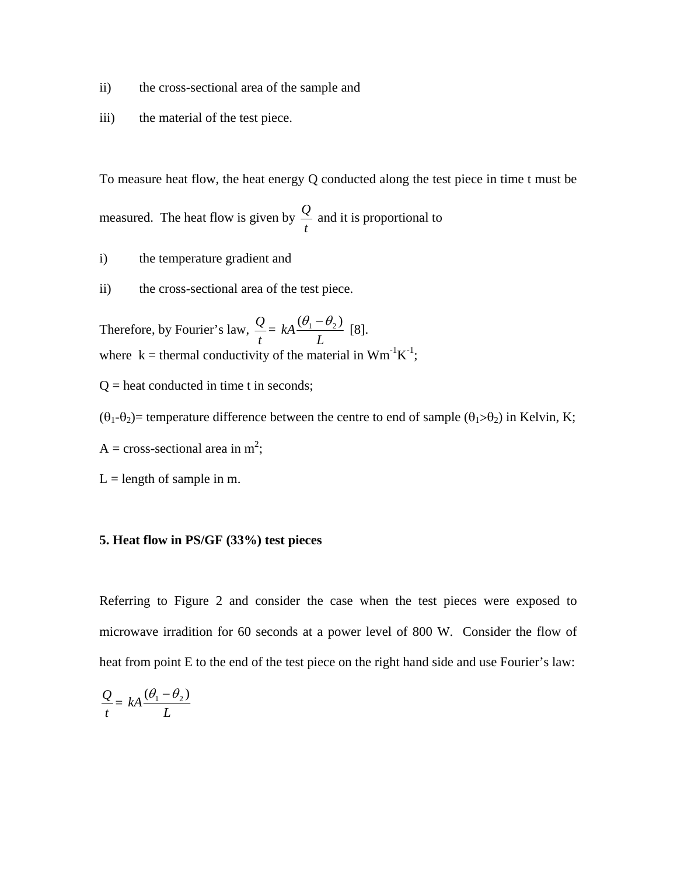- ii) the cross-sectional area of the sample and
- iii) the material of the test piece.

To measure heat flow, the heat energy Q conducted along the test piece in time t must be measured. The heat flow is given by *t <sup>Q</sup>* and it is proportional to

- i) the temperature gradient and
- ii) the cross-sectional area of the test piece.

Therefore, by Fourier's law, *t*  $Q_{\perp}$ *L*  $kA \frac{(\theta_1 - \theta_2)}{2}$  [8]. where  $k =$  thermal conductivity of the material in  $Wm^{-1}K^{-1}$ ;

- $Q =$  heat conducted in time t in seconds;
- $(\theta_1-\theta_2)$ = temperature difference between the centre to end of sample  $(\theta_1 > \theta_2)$  in Kelvin, K;
- A = cross-sectional area in  $m^2$ ;
- $L =$  length of sample in m.

# **5. Heat flow in PS/GF (33%) test pieces**

Referring to Figure 2 and consider the case when the test pieces were exposed to microwave irradition for 60 seconds at a power level of 800 W. Consider the flow of heat from point E to the end of the test piece on the right hand side and use Fourier's law:

$$
\frac{Q}{t} = kA \frac{(\theta_1 - \theta_2)}{L}
$$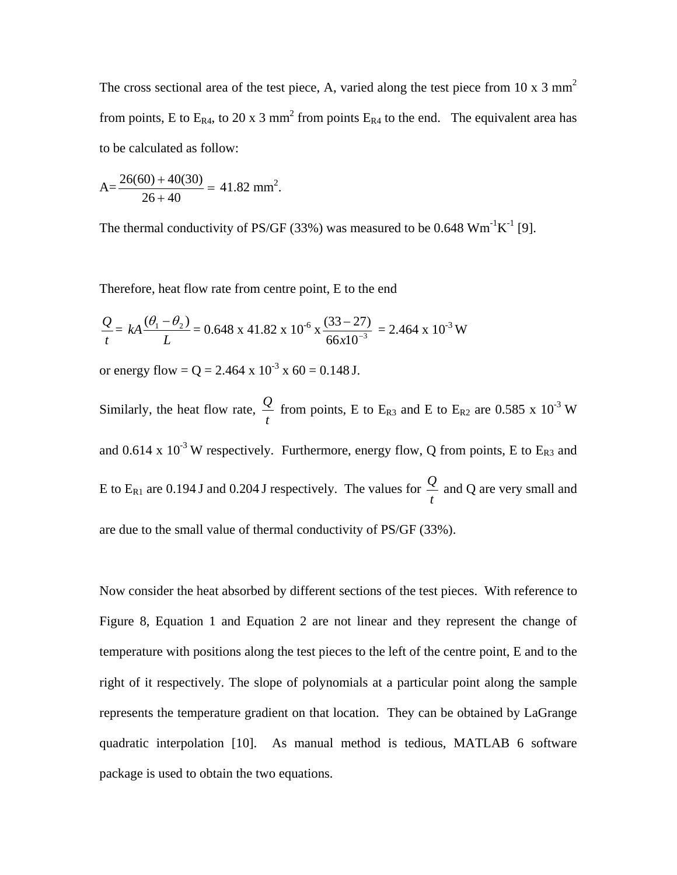The cross sectional area of the test piece, A, varied along the test piece from 10 x 3  $\text{mm}^2$ from points, E to  $E_{R4}$ , to 20 x 3 mm<sup>2</sup> from points  $E_{R4}$  to the end. The equivalent area has to be calculated as follow:

$$
A = \frac{26(60) + 40(30)}{26 + 40} = 41.82
$$
 mm<sup>2</sup>.

The thermal conductivity of PS/GF (33%) was measured to be 0.648  $Wm^{-1}K^{-1}$  [9].

Therefore, heat flow rate from centre point, E to the end

$$
\frac{Q}{t} = kA \frac{(\theta_1 - \theta_2)}{L} = 0.648 \times 41.82 \times 10^{-6} \times \frac{(33 - 27)}{66 \times 10^{-3}} = 2.464 \times 10^{-3} \text{ W}
$$

or energy flow =  $Q = 2.464 \times 10^{-3} \times 60 = 0.148$  J.

Similarly, the heat flow rate, *t*  $\mathcal{Q}$  from points, E to E<sub>R3</sub> and E to E<sub>R2</sub> are 0.585 x 10<sup>-3</sup> W and 0.614 x  $10^{-3}$  W respectively. Furthermore, energy flow, Q from points, E to E<sub>R3</sub> and E to  $E_{R1}$  are 0.194 J and 0.204 J respectively. The values for *t <sup>Q</sup>* and Q are very small and are due to the small value of thermal conductivity of PS/GF (33%).

Now consider the heat absorbed by different sections of the test pieces. With reference to Figure 8, Equation 1 and Equation 2 are not linear and they represent the change of temperature with positions along the test pieces to the left of the centre point, E and to the right of it respectively. The slope of polynomials at a particular point along the sample represents the temperature gradient on that location. They can be obtained by LaGrange quadratic interpolation [10]. As manual method is tedious, MATLAB 6 software package is used to obtain the two equations.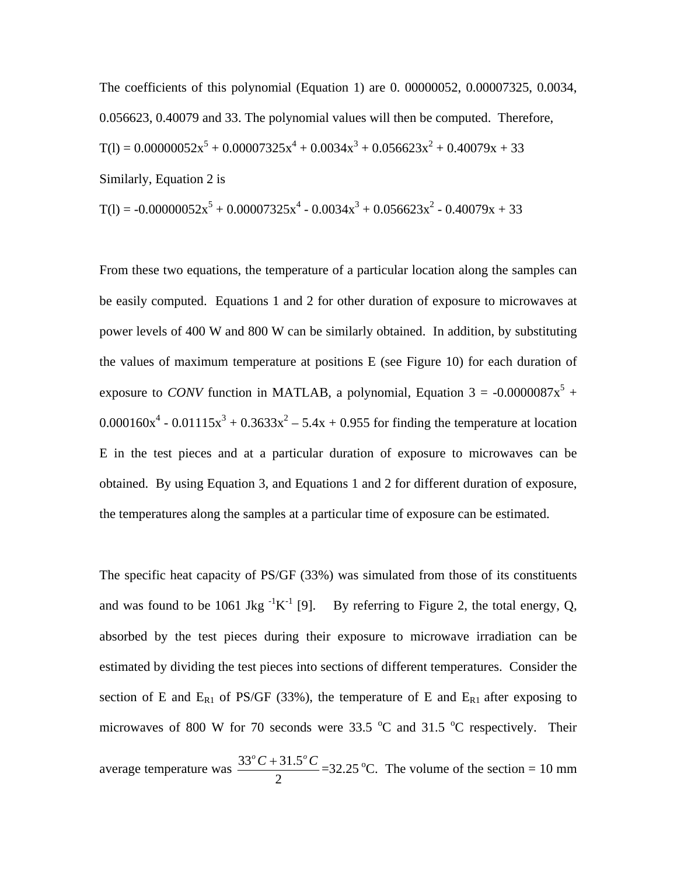The coefficients of this polynomial (Equation 1) are 0. 00000052, 0.00007325, 0.0034, 0.056623, 0.40079 and 33. The polynomial values will then be computed. Therefore,  $T(1) = 0.00000052x^5 + 0.00007325x^4 + 0.0034x^3 + 0.056623x^2 + 0.40079x + 33$ Similarly, Equation 2 is

$$
T(l) = -0.00000052x^{5} + 0.00007325x^{4} - 0.0034x^{3} + 0.056623x^{2} - 0.40079x + 33
$$

From these two equations, the temperature of a particular location along the samples can be easily computed. Equations 1 and 2 for other duration of exposure to microwaves at power levels of 400 W and 800 W can be similarly obtained. In addition, by substituting the values of maximum temperature at positions E (see Figure 10) for each duration of exposure to *CONV* function in MATLAB, a polynomial, Equation  $3 = -0.0000087x^5 +$  $0.000160x^4 - 0.01115x^3 + 0.3633x^2 - 5.4x + 0.955$  for finding the temperature at location E in the test pieces and at a particular duration of exposure to microwaves can be obtained. By using Equation 3, and Equations 1 and 2 for different duration of exposure, the temperatures along the samples at a particular time of exposure can be estimated.

The specific heat capacity of PS/GF (33%) was simulated from those of its constituents and was found to be 1061 Jkg  ${}^{1}K^{1}$  [9]. By referring to Figure 2, the total energy, Q, absorbed by the test pieces during their exposure to microwave irradiation can be estimated by dividing the test pieces into sections of different temperatures. Consider the section of E and  $E_{R1}$  of PS/GF (33%), the temperature of E and  $E_{R1}$  after exposing to microwaves of 800 W for 70 seconds were  $33.5\text{ °C}$  and  $31.5\text{ °C}$  respectively. Their

average temperature was 2  $\frac{33^{\circ}C + 31.5^{\circ}C}{2} = 32.25^{\circ}C$ . The volume of the section = 10 mm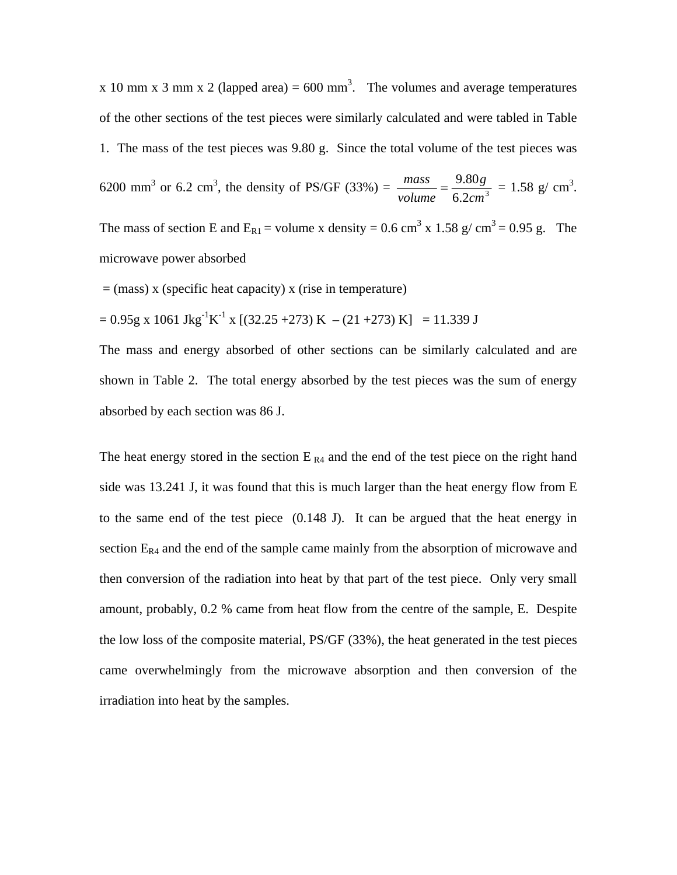x 10 mm x 3 mm x 2 (lapped area) = 600 mm<sup>3</sup>. The volumes and average temperatures of the other sections of the test pieces were similarly calculated and were tabled in Table 1. The mass of the test pieces was 9.80 g. Since the total volume of the test pieces was 6200 mm<sup>3</sup> or 6.2 cm<sup>3</sup>, the density of PS/GF (33%) =  $\frac{mass}{volume} = \frac{9.80g}{6.2cm^3}$ *cm g volume*  $\frac{mass}{\sqrt{1.1}} = \frac{9.80g}{\sqrt{1.1}} = 1.58 \text{ g/cm}^3.$ 

The mass of section E and  $E_{R1}$  = volume x density = 0.6 cm<sup>3</sup> x 1.58 g/ cm<sup>3</sup> = 0.95 g. The microwave power absorbed

 $=$  (mass) x (specific heat capacity) x (rise in temperature)

$$
= 0.95g \times 1061 \text{ Jkg}^{-1} \text{K}^{-1} \times [(32.25 + 273) \text{ K} - (21 + 273) \text{ K}] = 11.339 \text{ J}
$$

The mass and energy absorbed of other sections can be similarly calculated and are shown in Table 2. The total energy absorbed by the test pieces was the sum of energy absorbed by each section was 86 J.

The heat energy stored in the section  $E_{R4}$  and the end of the test piece on the right hand side was 13.241 J, it was found that this is much larger than the heat energy flow from E to the same end of the test piece (0.148 J). It can be argued that the heat energy in section  $E_{R4}$  and the end of the sample came mainly from the absorption of microwave and then conversion of the radiation into heat by that part of the test piece. Only very small amount, probably, 0.2 % came from heat flow from the centre of the sample, E. Despite the low loss of the composite material, PS/GF (33%), the heat generated in the test pieces came overwhelmingly from the microwave absorption and then conversion of the irradiation into heat by the samples.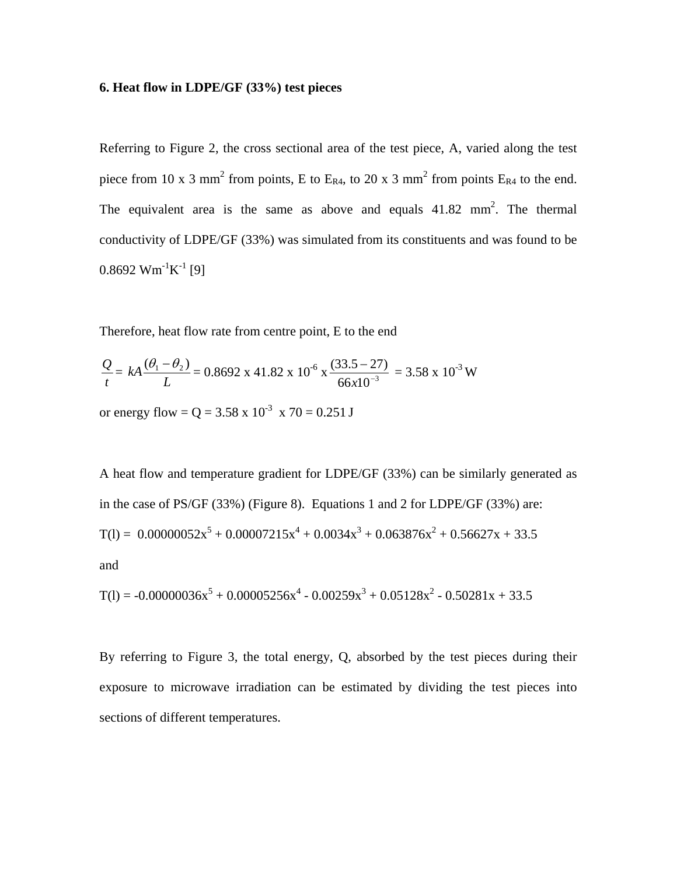### **6. Heat flow in LDPE/GF (33%) test pieces**

Referring to Figure 2, the cross sectional area of the test piece, A, varied along the test piece from 10 x 3 mm<sup>2</sup> from points, E to E<sub>R4</sub>, to 20 x 3 mm<sup>2</sup> from points E<sub>R4</sub> to the end. The equivalent area is the same as above and equals  $41.82 \text{ mm}^2$ . The thermal conductivity of LDPE/GF (33%) was simulated from its constituents and was found to be  $0.8692$  Wm<sup>-1</sup>K<sup>-1</sup> [9]

Therefore, heat flow rate from centre point, E to the end

$$
\frac{Q}{t} = kA \frac{(\theta_1 - \theta_2)}{L} = 0.8692 \times 41.82 \times 10^{-6} \times \frac{(33.5 - 27)}{66 \times 10^{-3}} = 3.58 \times 10^{-3} \text{ W}
$$

or energy flow =  $Q = 3.58 \times 10^{-3} \times 70 = 0.251 J$ 

A heat flow and temperature gradient for LDPE/GF (33%) can be similarly generated as in the case of PS/GF (33%) (Figure 8). Equations 1 and 2 for LDPE/GF (33%) are:  $T(1) = 0.00000052x^5 + 0.00007215x^4 + 0.0034x^3 + 0.063876x^2 + 0.56627x + 33.5$ and

$$
T(l) = -0.00000036x^{5} + 0.00005256x^{4} - 0.00259x^{3} + 0.05128x^{2} - 0.50281x + 33.5
$$

By referring to Figure 3, the total energy, Q, absorbed by the test pieces during their exposure to microwave irradiation can be estimated by dividing the test pieces into sections of different temperatures.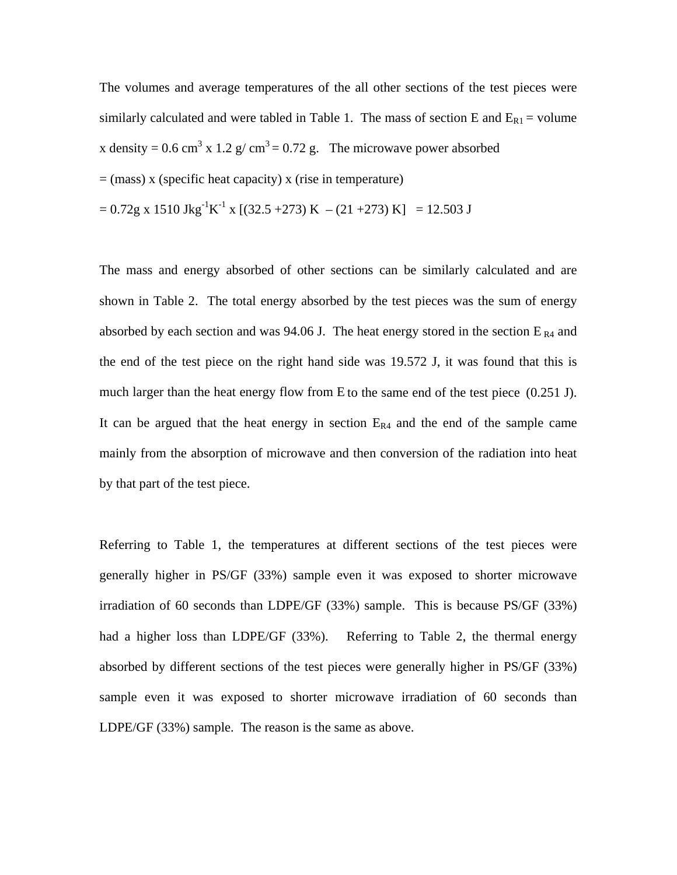The volumes and average temperatures of the all other sections of the test pieces were similarly calculated and were tabled in Table 1. The mass of section E and  $E_{R1}$  = volume x density = 0.6 cm<sup>3</sup> x 1.2 g/ cm<sup>3</sup> = 0.72 g. The microwave power absorbed  $=$  (mass) x (specific heat capacity) x (rise in temperature)

$$
= 0.72g \times 1510 \text{ Jkg}^{-1} \text{K}^{-1} \times [(32.5 + 273) \text{ K} - (21 + 273) \text{ K}] = 12.503 \text{ J}
$$

The mass and energy absorbed of other sections can be similarly calculated and are shown in Table 2. The total energy absorbed by the test pieces was the sum of energy absorbed by each section and was 94.06 J. The heat energy stored in the section  $E_{R4}$  and the end of the test piece on the right hand side was 19.572 J, it was found that this is much larger than the heat energy flow from E to the same end of the test piece (0.251 J). It can be argued that the heat energy in section  $E_{R4}$  and the end of the sample came mainly from the absorption of microwave and then conversion of the radiation into heat by that part of the test piece.

Referring to Table 1, the temperatures at different sections of the test pieces were generally higher in PS/GF (33%) sample even it was exposed to shorter microwave irradiation of 60 seconds than LDPE/GF (33%) sample. This is because PS/GF (33%) had a higher loss than LDPE/GF (33%). Referring to Table 2, the thermal energy absorbed by different sections of the test pieces were generally higher in PS/GF (33%) sample even it was exposed to shorter microwave irradiation of 60 seconds than LDPE/GF (33%) sample. The reason is the same as above.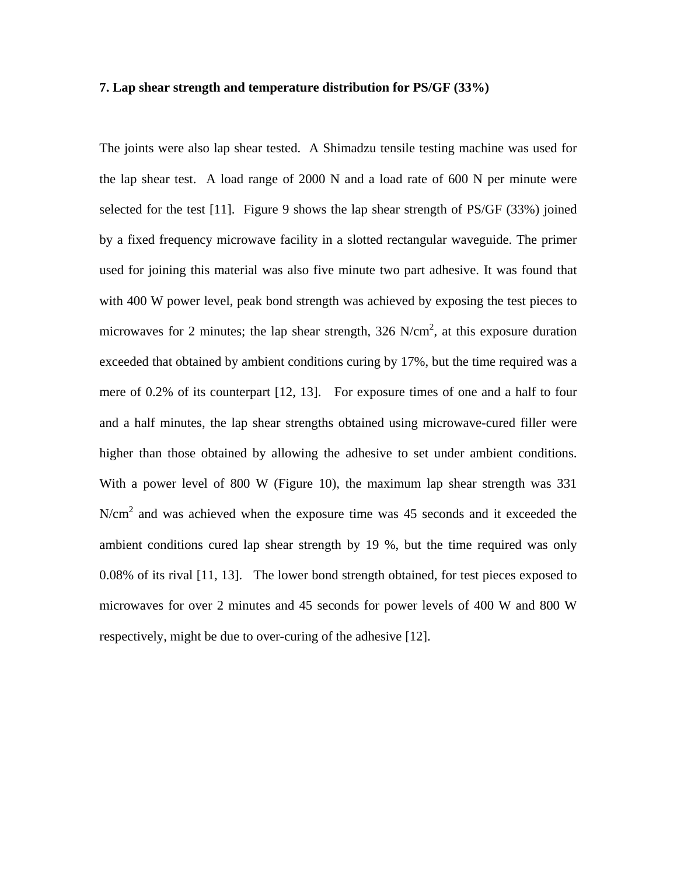### **7. Lap shear strength and temperature distribution for PS/GF (33%)**

The joints were also lap shear tested. A Shimadzu tensile testing machine was used for the lap shear test. A load range of 2000 N and a load rate of 600 N per minute were selected for the test [11]. Figure 9 shows the lap shear strength of  $PS/GF(33%)$  joined by a fixed frequency microwave facility in a slotted rectangular waveguide. The primer used for joining this material was also five minute two part adhesive. It was found that with 400 W power level, peak bond strength was achieved by exposing the test pieces to microwaves for 2 minutes; the lap shear strength,  $326 \text{ N/cm}^2$ , at this exposure duration exceeded that obtained by ambient conditions curing by 17%, but the time required was a mere of 0.2% of its counterpart [12, 13]. For exposure times of one and a half to four and a half minutes, the lap shear strengths obtained using microwave-cured filler were higher than those obtained by allowing the adhesive to set under ambient conditions. With a power level of 800 W (Figure 10), the maximum lap shear strength was 331  $N/cm<sup>2</sup>$  and was achieved when the exposure time was 45 seconds and it exceeded the ambient conditions cured lap shear strength by 19 %, but the time required was only 0.08% of its rival [11, 13]. The lower bond strength obtained, for test pieces exposed to microwaves for over 2 minutes and 45 seconds for power levels of 400 W and 800 W respectively, might be due to over-curing of the adhesive [12].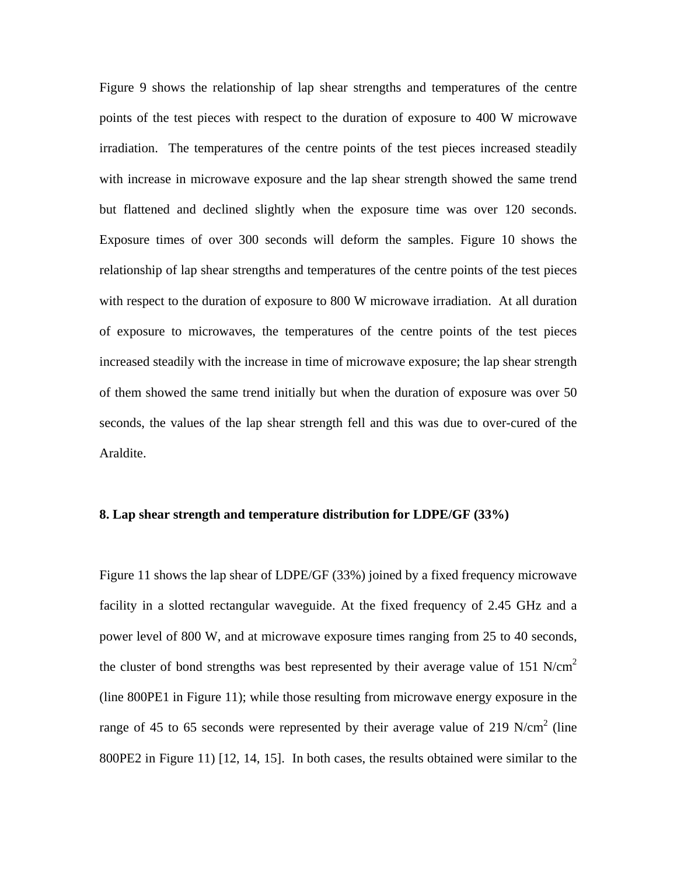Figure 9 shows the relationship of lap shear strengths and temperatures of the centre points of the test pieces with respect to the duration of exposure to 400 W microwave irradiation. The temperatures of the centre points of the test pieces increased steadily with increase in microwave exposure and the lap shear strength showed the same trend but flattened and declined slightly when the exposure time was over 120 seconds. Exposure times of over 300 seconds will deform the samples. Figure 10 shows the relationship of lap shear strengths and temperatures of the centre points of the test pieces with respect to the duration of exposure to 800 W microwave irradiation. At all duration of exposure to microwaves, the temperatures of the centre points of the test pieces increased steadily with the increase in time of microwave exposure; the lap shear strength of them showed the same trend initially but when the duration of exposure was over 50 seconds, the values of the lap shear strength fell and this was due to over-cured of the Araldite.

## **8. Lap shear strength and temperature distribution for LDPE/GF (33%)**

Figure 11 shows the lap shear of LDPE/GF (33%) joined by a fixed frequency microwave facility in a slotted rectangular waveguide. At the fixed frequency of 2.45 GHz and a power level of 800 W, and at microwave exposure times ranging from 25 to 40 seconds, the cluster of bond strengths was best represented by their average value of 151 N/cm<sup>2</sup> (line 800PE1 in Figure 11); while those resulting from microwave energy exposure in the range of 45 to 65 seconds were represented by their average value of 219 N/cm<sup>2</sup> (line 800PE2 in Figure 11) [12, 14, 15]. In both cases, the results obtained were similar to the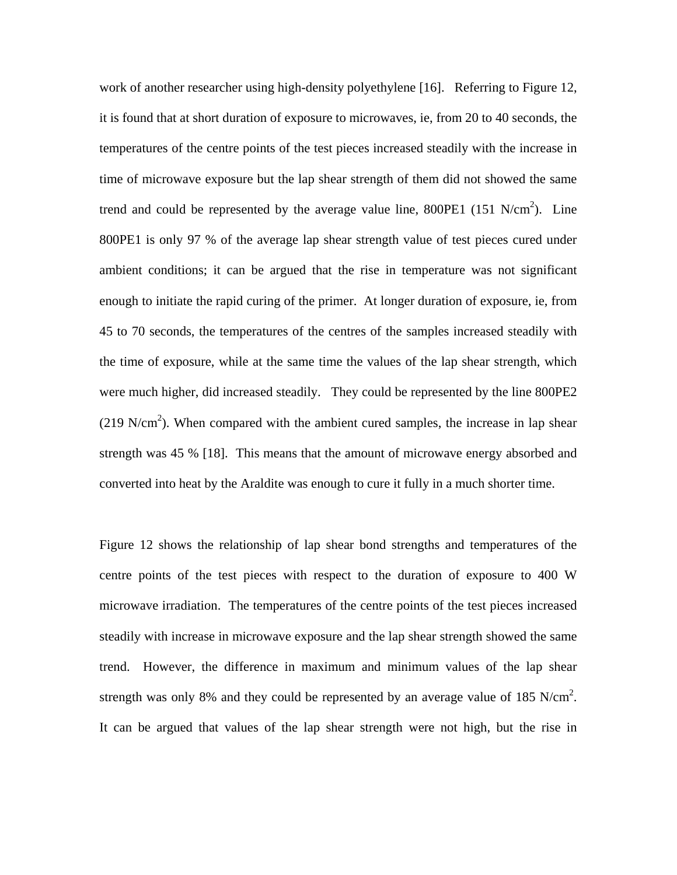work of another researcher using high-density polyethylene [16]. Referring to Figure 12, it is found that at short duration of exposure to microwaves, ie, from 20 to 40 seconds, the temperatures of the centre points of the test pieces increased steadily with the increase in time of microwave exposure but the lap shear strength of them did not showed the same trend and could be represented by the average value line,  $800PE1$  (151 N/cm<sup>2</sup>). Line 800PE1 is only 97 % of the average lap shear strength value of test pieces cured under ambient conditions; it can be argued that the rise in temperature was not significant enough to initiate the rapid curing of the primer. At longer duration of exposure, ie, from 45 to 70 seconds, the temperatures of the centres of the samples increased steadily with the time of exposure, while at the same time the values of the lap shear strength, which were much higher, did increased steadily. They could be represented by the line 800PE2  $(219 \text{ N/cm}^2)$ . When compared with the ambient cured samples, the increase in lap shear strength was 45 % [18]. This means that the amount of microwave energy absorbed and converted into heat by the Araldite was enough to cure it fully in a much shorter time.

Figure 12 shows the relationship of lap shear bond strengths and temperatures of the centre points of the test pieces with respect to the duration of exposure to 400 W microwave irradiation. The temperatures of the centre points of the test pieces increased steadily with increase in microwave exposure and the lap shear strength showed the same trend. However, the difference in maximum and minimum values of the lap shear strength was only 8% and they could be represented by an average value of 185 N/cm<sup>2</sup>. It can be argued that values of the lap shear strength were not high, but the rise in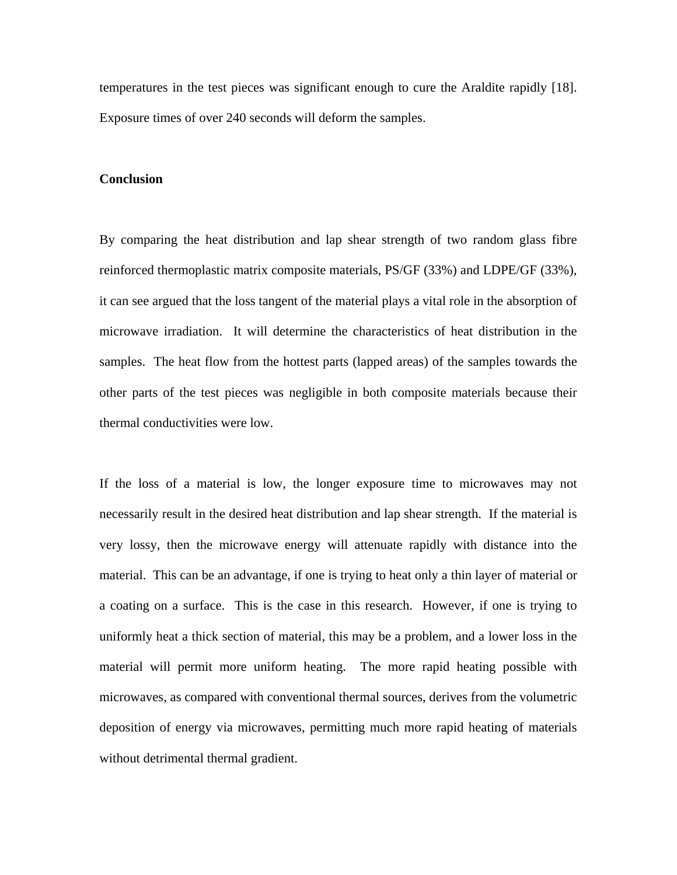temperatures in the test pieces was significant enough to cure the Araldite rapidly [18]. Exposure times of over 240 seconds will deform the samples.

### **Conclusion**

By comparing the heat distribution and lap shear strength of two random glass fibre reinforced thermoplastic matrix composite materials, PS/GF (33%) and LDPE/GF (33%), it can see argued that the loss tangent of the material plays a vital role in the absorption of microwave irradiation. It will determine the characteristics of heat distribution in the samples. The heat flow from the hottest parts (lapped areas) of the samples towards the other parts of the test pieces was negligible in both composite materials because their thermal conductivities were low.

If the loss of a material is low, the longer exposure time to microwaves may not necessarily result in the desired heat distribution and lap shear strength. If the material is very lossy, then the microwave energy will attenuate rapidly with distance into the material. This can be an advantage, if one is trying to heat only a thin layer of material or a coating on a surface. This is the case in this research. However, if one is trying to uniformly heat a thick section of material, this may be a problem, and a lower loss in the material will permit more uniform heating. The more rapid heating possible with microwaves, as compared with conventional thermal sources, derives from the volumetric deposition of energy via microwaves, permitting much more rapid heating of materials without detrimental thermal gradient.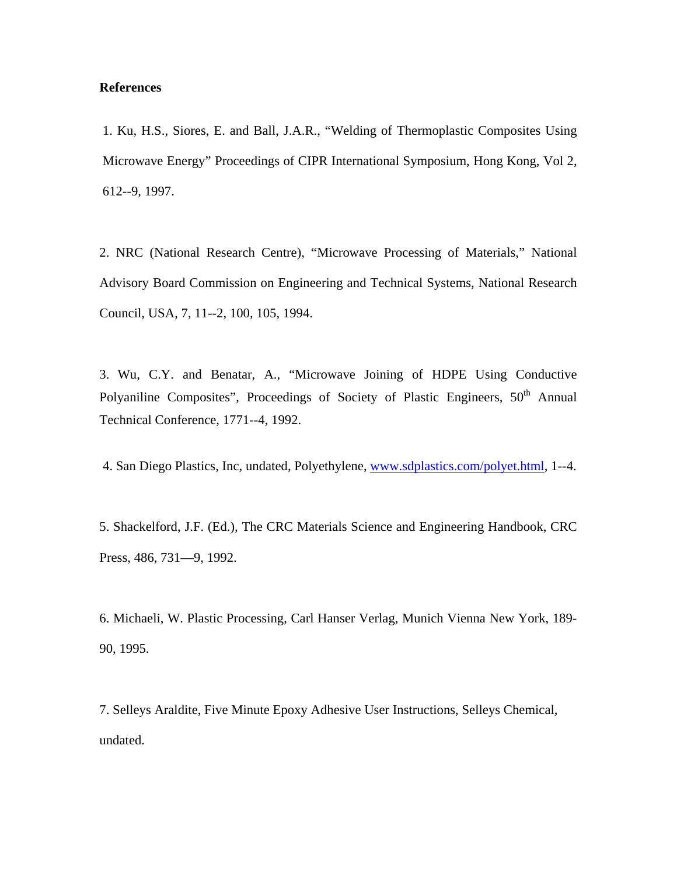## **References**

1. Ku, H.S., Siores, E. and Ball, J.A.R., "Welding of Thermoplastic Composites Using Microwave Energy" Proceedings of CIPR International Symposium, Hong Kong, Vol 2, 612--9, 1997.

2. NRC (National Research Centre), "Microwave Processing of Materials," National Advisory Board Commission on Engineering and Technical Systems, National Research Council, USA, 7, 11--2, 100, 105, 1994.

3. Wu, C.Y. and Benatar, A., "Microwave Joining of HDPE Using Conductive Polyaniline Composites", Proceedings of Society of Plastic Engineers, 50<sup>th</sup> Annual Technical Conference, 1771--4, 1992.

4. San Diego Plastics, Inc, undated, Polyethylene, www.sdplastics.com/polyet.html, 1--4.

5. Shackelford, J.F. (Ed.), The CRC Materials Science and Engineering Handbook, CRC Press, 486, 731—9, 1992.

6. Michaeli, W. Plastic Processing, Carl Hanser Verlag, Munich Vienna New York, 189- 90, 1995.

7. Selleys Araldite, Five Minute Epoxy Adhesive User Instructions, Selleys Chemical, undated.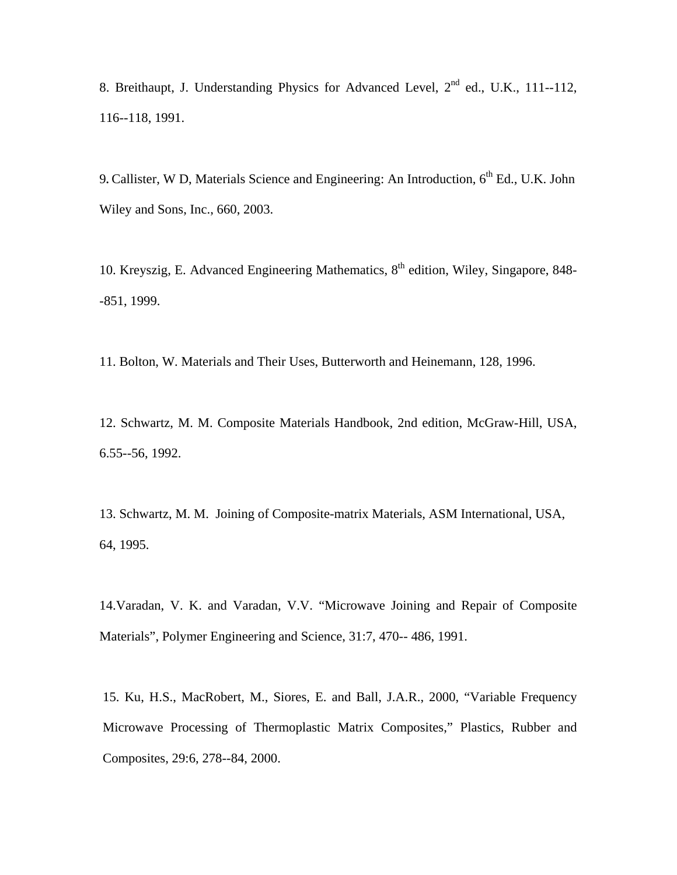8. Breithaupt, J. Understanding Physics for Advanced Level,  $2^{nd}$  ed., U.K., 111--112, 116--118, 1991.

9. Callister, W D, Materials Science and Engineering: An Introduction, 6<sup>th</sup> Ed., U.K. John Wiley and Sons, Inc., 660, 2003.

10. Kreyszig, E. Advanced Engineering Mathematics, 8<sup>th</sup> edition, Wiley, Singapore, 848--851, 1999.

11. Bolton, W. Materials and Their Uses, Butterworth and Heinemann, 128, 1996.

12. Schwartz, M. M. Composite Materials Handbook, 2nd edition, McGraw-Hill, USA, 6.55--56, 1992.

13. Schwartz, M. M. Joining of Composite-matrix Materials, ASM International, USA, 64, 1995.

14.Varadan, V. K. and Varadan, V.V. "Microwave Joining and Repair of Composite Materials", Polymer Engineering and Science, 31:7, 470-- 486, 1991.

15. Ku, H.S., MacRobert, M., Siores, E. and Ball, J.A.R., 2000, "Variable Frequency Microwave Processing of Thermoplastic Matrix Composites," Plastics, Rubber and Composites, 29:6, 278--84, 2000.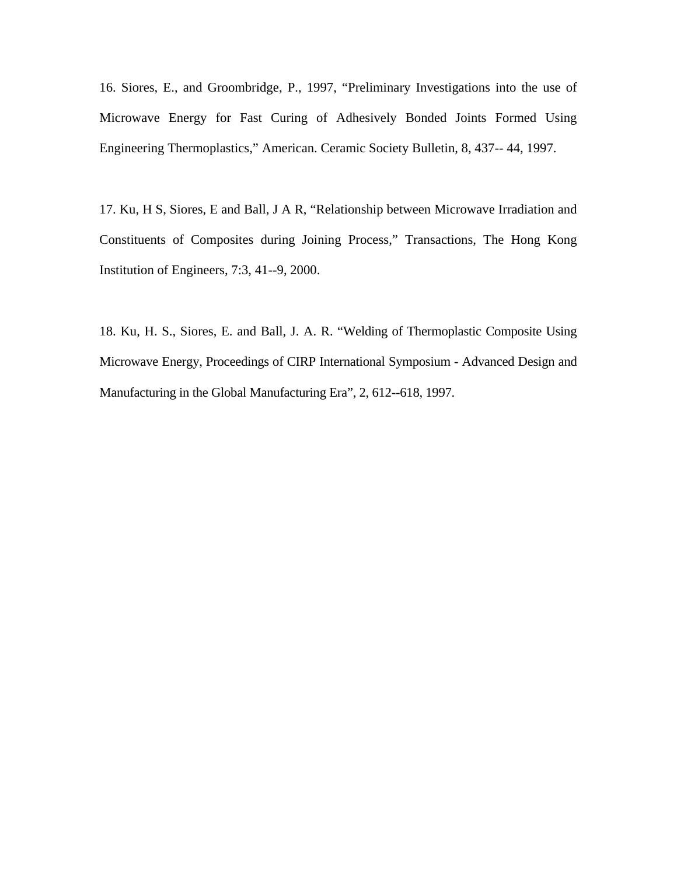16. Siores, E., and Groombridge, P., 1997, "Preliminary Investigations into the use of Microwave Energy for Fast Curing of Adhesively Bonded Joints Formed Using Engineering Thermoplastics," American. Ceramic Society Bulletin, 8, 437-- 44, 1997.

17. Ku, H S, Siores, E and Ball, J A R, "Relationship between Microwave Irradiation and Constituents of Composites during Joining Process," Transactions, The Hong Kong Institution of Engineers, 7:3, 41--9, 2000.

18. Ku, H. S., Siores, E. and Ball, J. A. R. "Welding of Thermoplastic Composite Using Microwave Energy, Proceedings of CIRP International Symposium - Advanced Design and Manufacturing in the Global Manufacturing Era", 2, 612--618, 1997.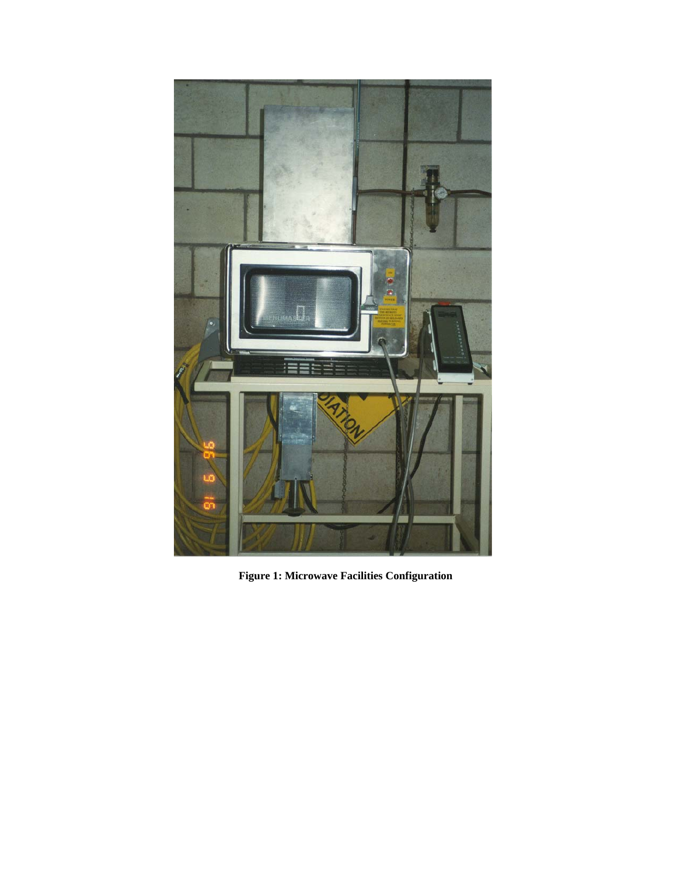

 **Figure 1: Microwave Facilities Configuration**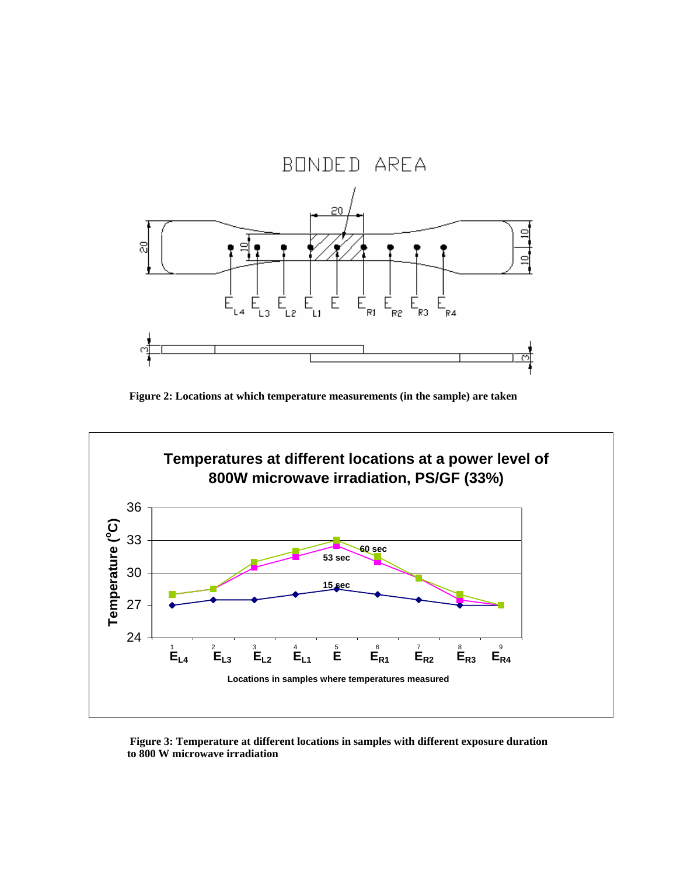

**Figure 2: Locations at which temperature measurements (in the sample) are taken** 



 **Figure 3: Temperature at different locations in samples with different exposure duration to 800 W microwave irradiation**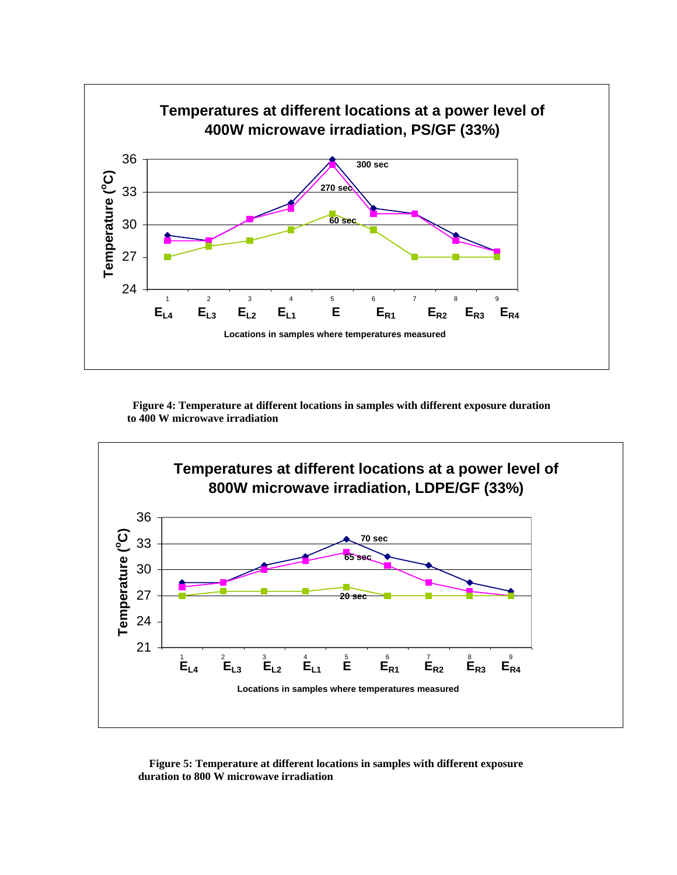

 **Figure 4: Temperature at different locations in samples with different exposure duration to 400 W microwave irradiation**



 **Figure 5: Temperature at different locations in samples with different exposure duration to 800 W microwave irradiation**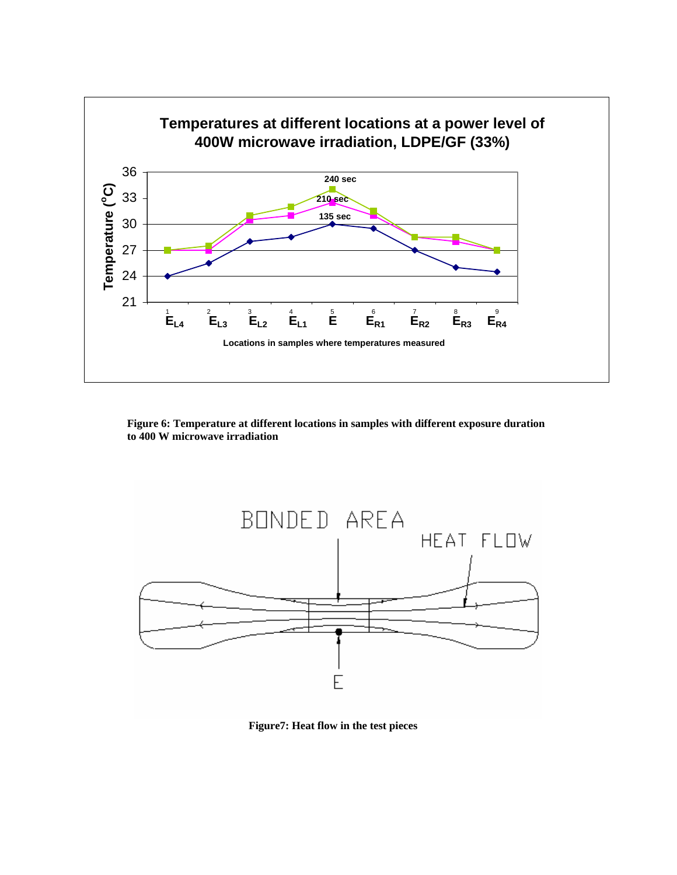

 **Figure 6: Temperature at different locations in samples with different exposure duration to 400 W microwave irradiation** 



 **Figure7: Heat flow in the test pieces**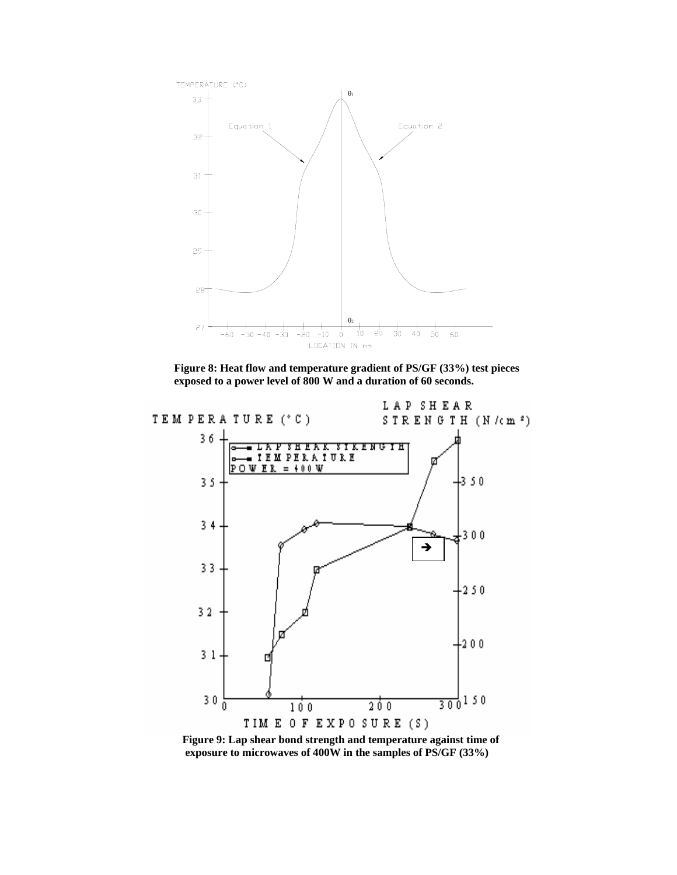

 **Figure 8: Heat flow and temperature gradient of PS/GF (33%) test pieces exposed to a power level of 800 W and a duration of 60 seconds.** 



 **Figure 9: Lap shear bond strength and temperature against time of exposure to microwaves of 400W in the samples of PS/GF (33%)**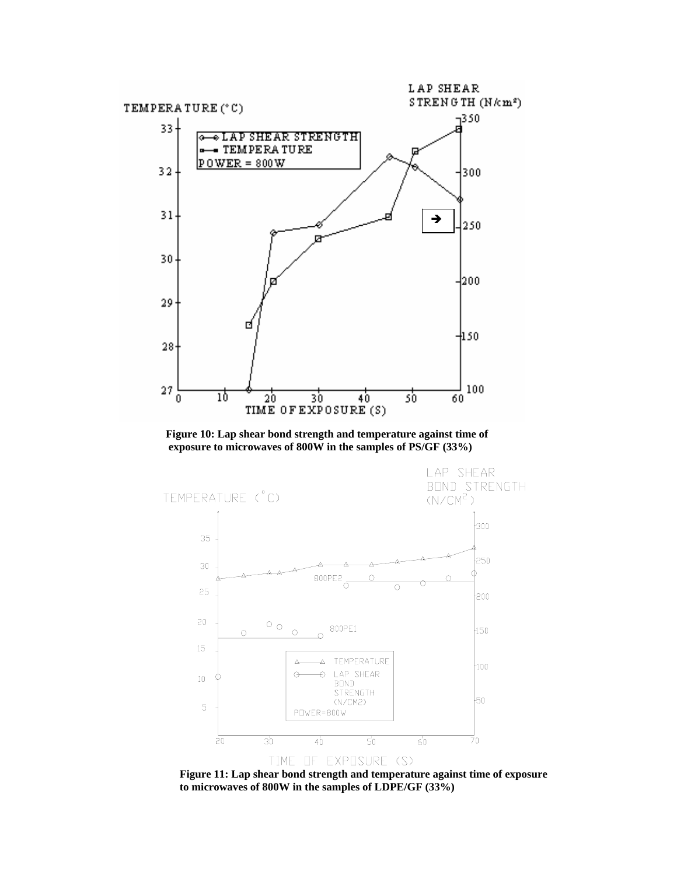

 **Figure 10: Lap shear bond strength and temperature against time of exposure to microwaves of 800W in the samples of PS/GF (33%)** 



 **Figure 11: Lap shear bond strength and temperature against time of exposure to microwaves of 800W in the samples of LDPE/GF (33%)**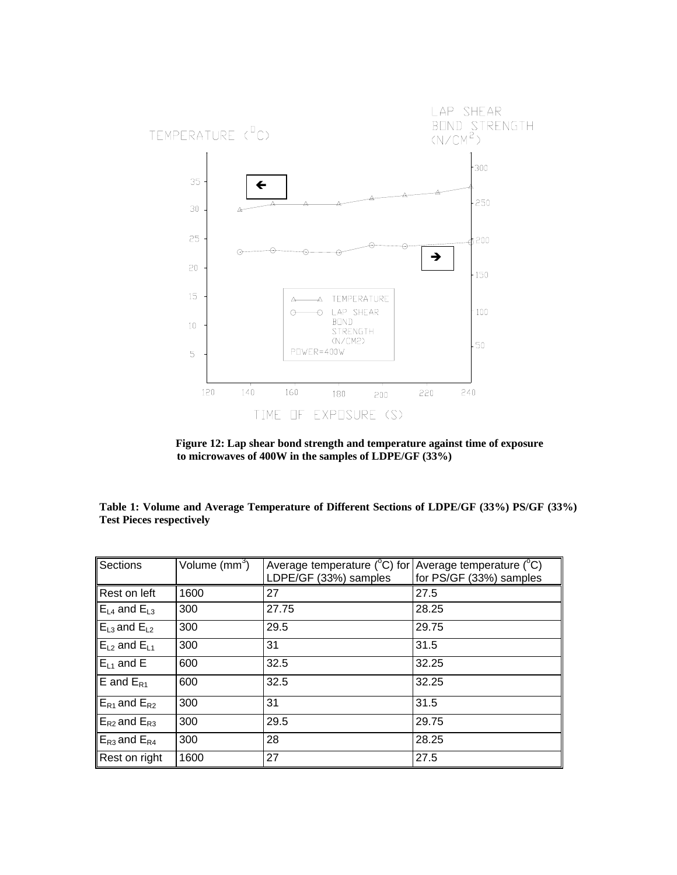

 **Figure 12: Lap shear bond strength and temperature against time of exposure to microwaves of 400W in the samples of LDPE/GF (33%)** 

**Table 1: Volume and Average Temperature of Different Sections of LDPE/GF (33%) PS/GF (33%) Test Pieces respectively** 

| Sections                                                  | Volume $\text{(mm}^3)$ | Average temperature ( $^{\circ}$ C) for Average temperature ( $^{\circ}$ C)<br>LDPE/GF (33%) samples | for PS/GF (33%) samples |
|-----------------------------------------------------------|------------------------|------------------------------------------------------------------------------------------------------|-------------------------|
| Rest on left                                              | 1600                   | 27                                                                                                   | 27.5                    |
| $\mathbb{E}_{\mathsf{L}4}$ and $\mathsf{E}_{\mathsf{L}3}$ | 300                    | 27.75                                                                                                | 28.25                   |
| $E_{L3}$ and $E_{L2}$                                     | 300                    | 29.5                                                                                                 | 29.75                   |
| $E_{L2}$ and $E_{L1}$                                     | 300                    | 31                                                                                                   | 31.5                    |
| $E_{L1}$ and E                                            | 600                    | 32.5                                                                                                 | 32.25                   |
| $E$ and $E_{R1}$                                          | 600                    | 32.5                                                                                                 | 32.25                   |
| $E_{R1}$ and $E_{R2}$                                     | 300                    | 31                                                                                                   | 31.5                    |
| $E_{R2}$ and $E_{R3}$                                     | 300                    | 29.5                                                                                                 | 29.75                   |
| $E_{R3}$ and $E_{R4}$                                     | 300                    | 28                                                                                                   | 28.25                   |
| Rest on right                                             | 1600                   | 27                                                                                                   | 27.5                    |